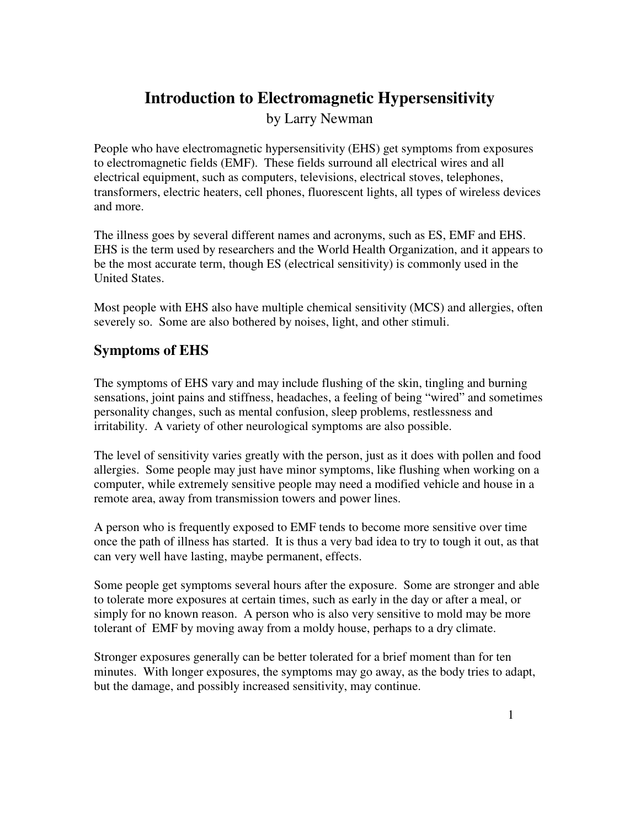# **Introduction to Electromagnetic Hypersensitivity**

by Larry Newman

People who have electromagnetic hypersensitivity (EHS) get symptoms from exposures to electromagnetic fields (EMF). These fields surround all electrical wires and all electrical equipment, such as computers, televisions, electrical stoves, telephones, transformers, electric heaters, cell phones, fluorescent lights, all types of wireless devices and more.

The illness goes by several different names and acronyms, such as ES, EMF and EHS. EHS is the term used by researchers and the World Health Organization, and it appears to be the most accurate term, though ES (electrical sensitivity) is commonly used in the United States.

Most people with EHS also have multiple chemical sensitivity (MCS) and allergies, often severely so. Some are also bothered by noises, light, and other stimuli.

## **Symptoms of EHS**

The symptoms of EHS vary and may include flushing of the skin, tingling and burning sensations, joint pains and stiffness, headaches, a feeling of being "wired" and sometimes personality changes, such as mental confusion, sleep problems, restlessness and irritability. A variety of other neurological symptoms are also possible.

The level of sensitivity varies greatly with the person, just as it does with pollen and food allergies. Some people may just have minor symptoms, like flushing when working on a computer, while extremely sensitive people may need a modified vehicle and house in a remote area, away from transmission towers and power lines.

A person who is frequently exposed to EMF tends to become more sensitive over time once the path of illness has started. It is thus a very bad idea to try to tough it out, as that can very well have lasting, maybe permanent, effects.

Some people get symptoms several hours after the exposure. Some are stronger and able to tolerate more exposures at certain times, such as early in the day or after a meal, or simply for no known reason. A person who is also very sensitive to mold may be more tolerant of EMF by moving away from a moldy house, perhaps to a dry climate.

Stronger exposures generally can be better tolerated for a brief moment than for ten minutes. With longer exposures, the symptoms may go away, as the body tries to adapt, but the damage, and possibly increased sensitivity, may continue.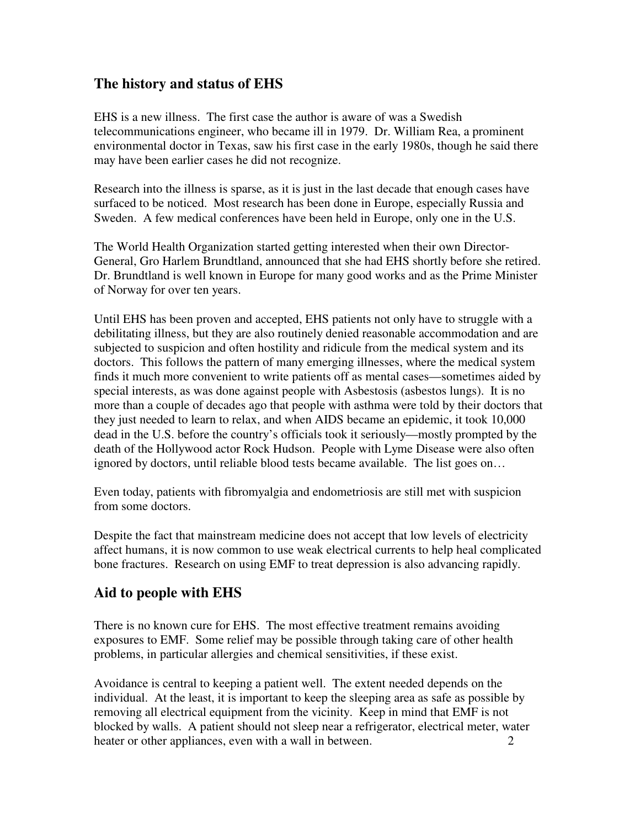### **The history and status of EHS**

EHS is a new illness. The first case the author is aware of was a Swedish telecommunications engineer, who became ill in 1979. Dr. William Rea, a prominent environmental doctor in Texas, saw his first case in the early 1980s, though he said there may have been earlier cases he did not recognize.

Research into the illness is sparse, as it is just in the last decade that enough cases have surfaced to be noticed. Most research has been done in Europe, especially Russia and Sweden. A few medical conferences have been held in Europe, only one in the U.S.

The World Health Organization started getting interested when their own Director-General, Gro Harlem Brundtland, announced that she had EHS shortly before she retired. Dr. Brundtland is well known in Europe for many good works and as the Prime Minister of Norway for over ten years.

Until EHS has been proven and accepted, EHS patients not only have to struggle with a debilitating illness, but they are also routinely denied reasonable accommodation and are subjected to suspicion and often hostility and ridicule from the medical system and its doctors. This follows the pattern of many emerging illnesses, where the medical system finds it much more convenient to write patients off as mental cases—sometimes aided by special interests, as was done against people with Asbestosis (asbestos lungs). It is no more than a couple of decades ago that people with asthma were told by their doctors that they just needed to learn to relax, and when AIDS became an epidemic, it took 10,000 dead in the U.S. before the country's officials took it seriously—mostly prompted by the death of the Hollywood actor Rock Hudson. People with Lyme Disease were also often ignored by doctors, until reliable blood tests became available. The list goes on…

Even today, patients with fibromyalgia and endometriosis are still met with suspicion from some doctors.

Despite the fact that mainstream medicine does not accept that low levels of electricity affect humans, it is now common to use weak electrical currents to help heal complicated bone fractures. Research on using EMF to treat depression is also advancing rapidly.

### **Aid to people with EHS**

There is no known cure for EHS. The most effective treatment remains avoiding exposures to EMF. Some relief may be possible through taking care of other health problems, in particular allergies and chemical sensitivities, if these exist.

Avoidance is central to keeping a patient well. The extent needed depends on the individual. At the least, it is important to keep the sleeping area as safe as possible by removing all electrical equipment from the vicinity. Keep in mind that EMF is not blocked by walls. A patient should not sleep near a refrigerator, electrical meter, water heater or other appliances, even with a wall in between. 2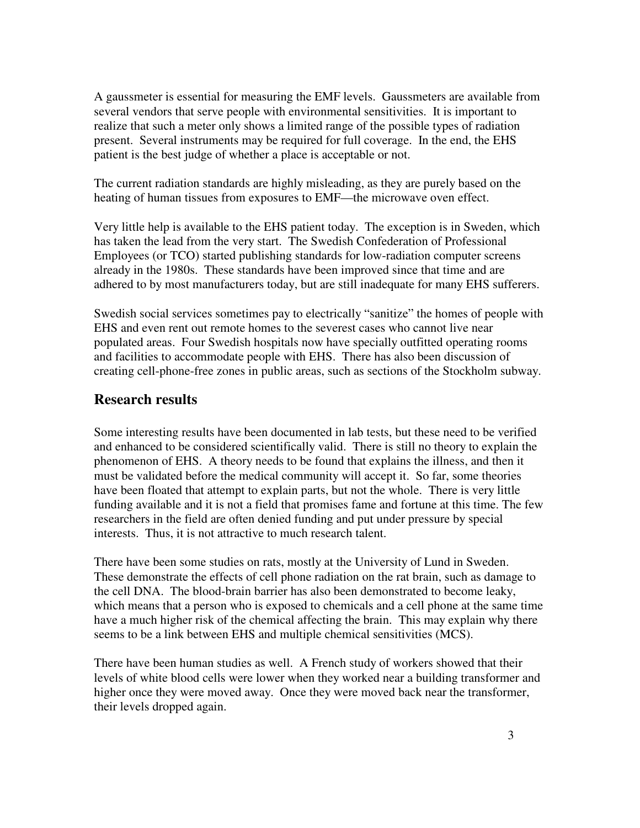A gaussmeter is essential for measuring the EMF levels. Gaussmeters are available from several vendors that serve people with environmental sensitivities. It is important to realize that such a meter only shows a limited range of the possible types of radiation present. Several instruments may be required for full coverage. In the end, the EHS patient is the best judge of whether a place is acceptable or not.

The current radiation standards are highly misleading, as they are purely based on the heating of human tissues from exposures to EMF—the microwave oven effect.

Very little help is available to the EHS patient today. The exception is in Sweden, which has taken the lead from the very start. The Swedish Confederation of Professional Employees (or TCO) started publishing standards for low-radiation computer screens already in the 1980s. These standards have been improved since that time and are adhered to by most manufacturers today, but are still inadequate for many EHS sufferers.

Swedish social services sometimes pay to electrically "sanitize" the homes of people with EHS and even rent out remote homes to the severest cases who cannot live near populated areas. Four Swedish hospitals now have specially outfitted operating rooms and facilities to accommodate people with EHS. There has also been discussion of creating cell-phone-free zones in public areas, such as sections of the Stockholm subway.

### **Research results**

Some interesting results have been documented in lab tests, but these need to be verified and enhanced to be considered scientifically valid. There is still no theory to explain the phenomenon of EHS. A theory needs to be found that explains the illness, and then it must be validated before the medical community will accept it. So far, some theories have been floated that attempt to explain parts, but not the whole. There is very little funding available and it is not a field that promises fame and fortune at this time. The few researchers in the field are often denied funding and put under pressure by special interests. Thus, it is not attractive to much research talent.

There have been some studies on rats, mostly at the University of Lund in Sweden. These demonstrate the effects of cell phone radiation on the rat brain, such as damage to the cell DNA. The blood-brain barrier has also been demonstrated to become leaky, which means that a person who is exposed to chemicals and a cell phone at the same time have a much higher risk of the chemical affecting the brain. This may explain why there seems to be a link between EHS and multiple chemical sensitivities (MCS).

There have been human studies as well. A French study of workers showed that their levels of white blood cells were lower when they worked near a building transformer and higher once they were moved away. Once they were moved back near the transformer, their levels dropped again.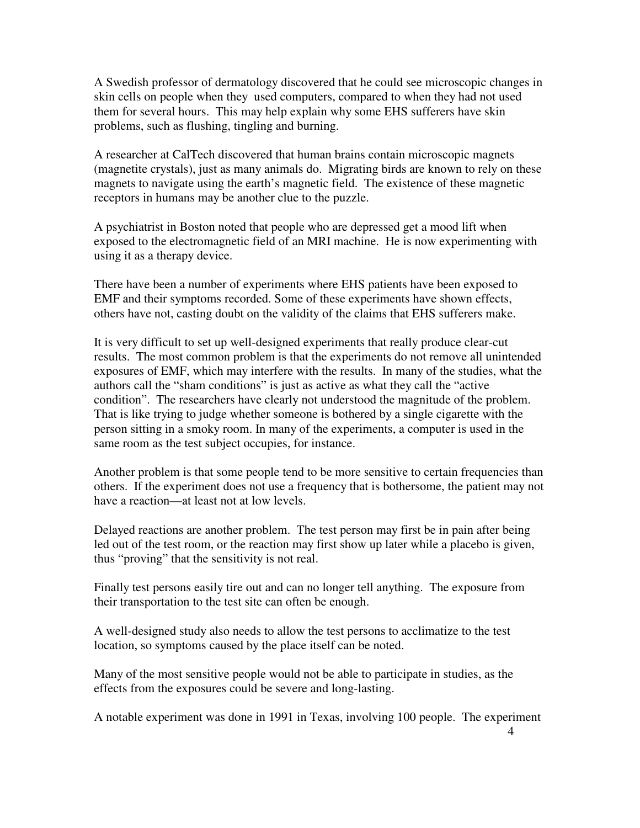A Swedish professor of dermatology discovered that he could see microscopic changes in skin cells on people when they used computers, compared to when they had not used them for several hours. This may help explain why some EHS sufferers have skin problems, such as flushing, tingling and burning.

A researcher at CalTech discovered that human brains contain microscopic magnets (magnetite crystals), just as many animals do. Migrating birds are known to rely on these magnets to navigate using the earth's magnetic field. The existence of these magnetic receptors in humans may be another clue to the puzzle.

A psychiatrist in Boston noted that people who are depressed get a mood lift when exposed to the electromagnetic field of an MRI machine. He is now experimenting with using it as a therapy device.

There have been a number of experiments where EHS patients have been exposed to EMF and their symptoms recorded. Some of these experiments have shown effects, others have not, casting doubt on the validity of the claims that EHS sufferers make.

It is very difficult to set up well-designed experiments that really produce clear-cut results. The most common problem is that the experiments do not remove all unintended exposures of EMF, which may interfere with the results. In many of the studies, what the authors call the "sham conditions" is just as active as what they call the "active condition". The researchers have clearly not understood the magnitude of the problem. That is like trying to judge whether someone is bothered by a single cigarette with the person sitting in a smoky room. In many of the experiments, a computer is used in the same room as the test subject occupies, for instance.

Another problem is that some people tend to be more sensitive to certain frequencies than others. If the experiment does not use a frequency that is bothersome, the patient may not have a reaction—at least not at low levels.

Delayed reactions are another problem. The test person may first be in pain after being led out of the test room, or the reaction may first show up later while a placebo is given, thus "proving" that the sensitivity is not real.

Finally test persons easily tire out and can no longer tell anything. The exposure from their transportation to the test site can often be enough.

A well-designed study also needs to allow the test persons to acclimatize to the test location, so symptoms caused by the place itself can be noted.

Many of the most sensitive people would not be able to participate in studies, as the effects from the exposures could be severe and long-lasting.

A notable experiment was done in 1991 in Texas, involving 100 people. The experiment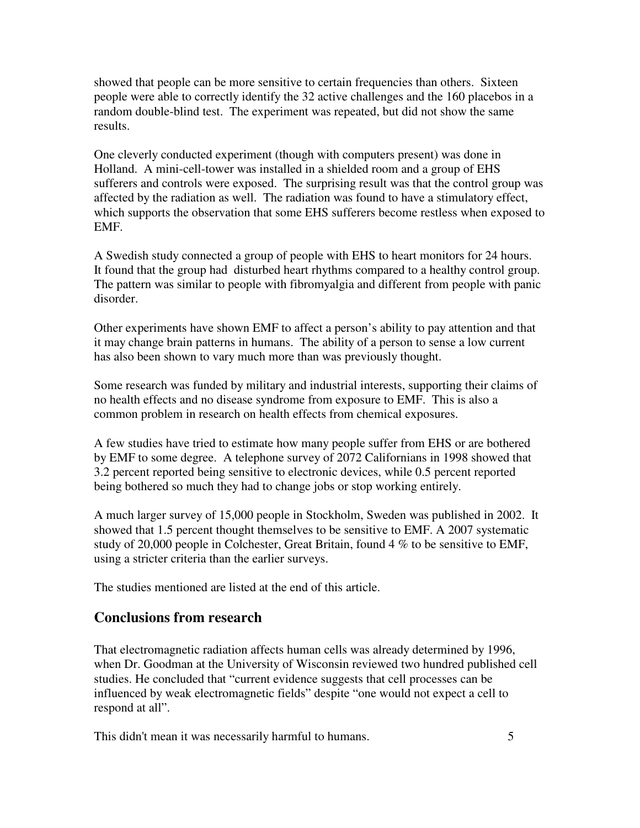showed that people can be more sensitive to certain frequencies than others. Sixteen people were able to correctly identify the 32 active challenges and the 160 placebos in a random double-blind test. The experiment was repeated, but did not show the same results.

One cleverly conducted experiment (though with computers present) was done in Holland. A mini-cell-tower was installed in a shielded room and a group of EHS sufferers and controls were exposed. The surprising result was that the control group was affected by the radiation as well. The radiation was found to have a stimulatory effect, which supports the observation that some EHS sufferers become restless when exposed to EMF.

A Swedish study connected a group of people with EHS to heart monitors for 24 hours. It found that the group had disturbed heart rhythms compared to a healthy control group. The pattern was similar to people with fibromyalgia and different from people with panic disorder.

Other experiments have shown EMF to affect a person's ability to pay attention and that it may change brain patterns in humans. The ability of a person to sense a low current has also been shown to vary much more than was previously thought.

Some research was funded by military and industrial interests, supporting their claims of no health effects and no disease syndrome from exposure to EMF. This is also a common problem in research on health effects from chemical exposures.

A few studies have tried to estimate how many people suffer from EHS or are bothered by EMF to some degree. A telephone survey of 2072 Californians in 1998 showed that 3.2 percent reported being sensitive to electronic devices, while 0.5 percent reported being bothered so much they had to change jobs or stop working entirely.

A much larger survey of 15,000 people in Stockholm, Sweden was published in 2002. It showed that 1.5 percent thought themselves to be sensitive to EMF. A 2007 systematic study of 20,000 people in Colchester, Great Britain, found 4 % to be sensitive to EMF, using a stricter criteria than the earlier surveys.

The studies mentioned are listed at the end of this article.

### **Conclusions from research**

That electromagnetic radiation affects human cells was already determined by 1996, when Dr. Goodman at the University of Wisconsin reviewed two hundred published cell studies. He concluded that "current evidence suggests that cell processes can be influenced by weak electromagnetic fields" despite "one would not expect a cell to respond at all".

This didn't mean it was necessarily harmful to humans. 5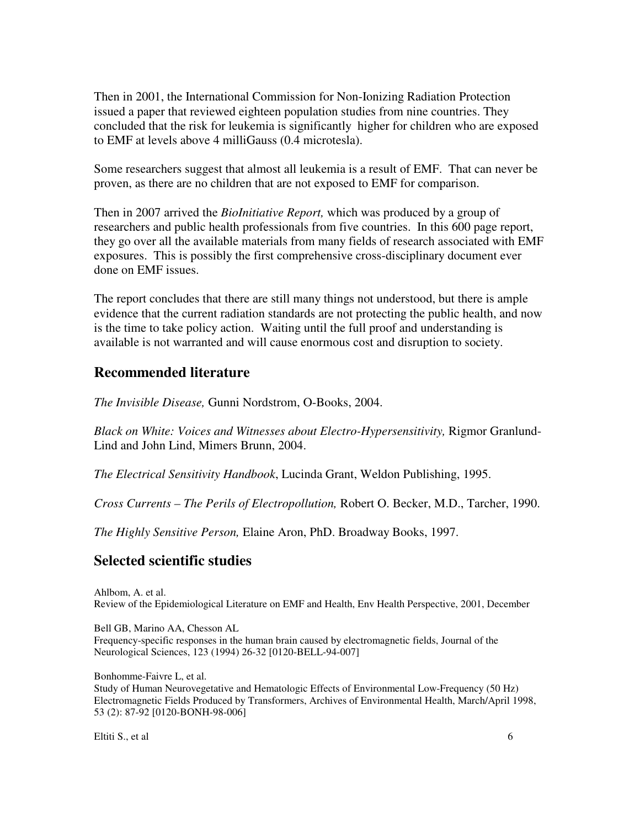Then in 2001, the International Commission for Non-Ionizing Radiation Protection issued a paper that reviewed eighteen population studies from nine countries. They concluded that the risk for leukemia is significantly higher for children who are exposed to EMF at levels above 4 milliGauss (0.4 microtesla).

Some researchers suggest that almost all leukemia is a result of EMF. That can never be proven, as there are no children that are not exposed to EMF for comparison.

Then in 2007 arrived the *BioInitiative Report,* which was produced by a group of researchers and public health professionals from five countries. In this 600 page report, they go over all the available materials from many fields of research associated with EMF exposures. This is possibly the first comprehensive cross-disciplinary document ever done on EMF issues.

The report concludes that there are still many things not understood, but there is ample evidence that the current radiation standards are not protecting the public health, and now is the time to take policy action. Waiting until the full proof and understanding is available is not warranted and will cause enormous cost and disruption to society.

### **Recommended literature**

*The Invisible Disease,* Gunni Nordstrom, O-Books, 2004.

*Black on White: Voices and Witnesses about Electro-Hypersensitivity,* Rigmor Granlund-Lind and John Lind, Mimers Brunn, 2004.

*The Electrical Sensitivity Handbook*, Lucinda Grant, Weldon Publishing, 1995.

*Cross Currents – The Perils of Electropollution,* Robert O. Becker, M.D., Tarcher, 1990.

*The Highly Sensitive Person,* Elaine Aron, PhD. Broadway Books, 1997.

### **Selected scientific studies**

Ahlbom, A. et al. Review of the Epidemiological Literature on EMF and Health, Env Health Perspective, 2001, December

Bell GB, Marino AA, Chesson AL Frequency-specific responses in the human brain caused by electromagnetic fields, Journal of the Neurological Sciences, 123 (1994) 26-32 [0120-BELL-94-007]

Bonhomme-Faivre L, et al.

Study of Human Neurovegetative and Hematologic Effects of Environmental Low-Frequency (50 Hz) Electromagnetic Fields Produced by Transformers, Archives of Environmental Health, March/April 1998, 53 (2): 87-92 [0120-BONH-98-006]

Eltiti S., et al 6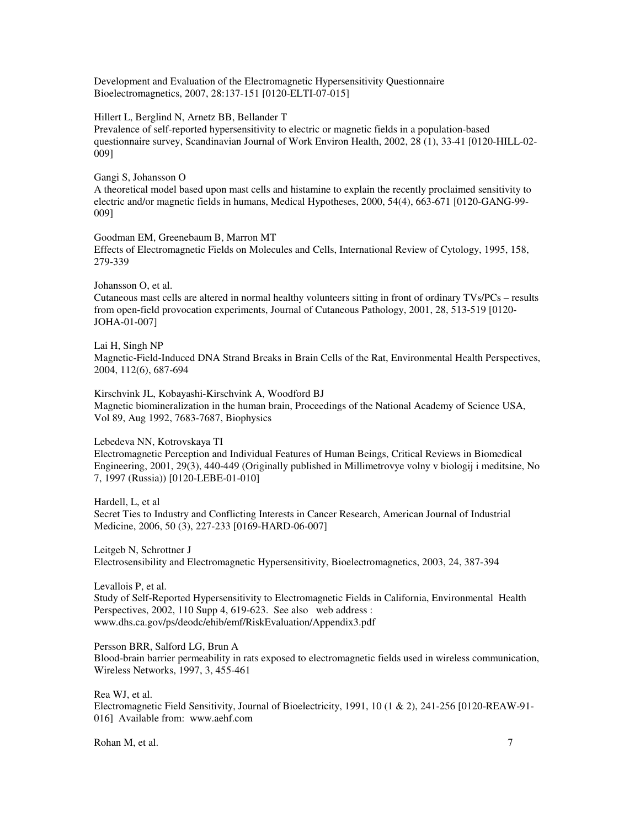Development and Evaluation of the Electromagnetic Hypersensitivity Questionnaire Bioelectromagnetics, 2007, 28:137-151 [0120-ELTI-07-015]

#### Hillert L, Berglind N, Arnetz BB, Bellander T

Prevalence of self-reported hypersensitivity to electric or magnetic fields in a population-based questionnaire survey, Scandinavian Journal of Work Environ Health, 2002, 28 (1), 33-41 [0120-HILL-02- 009]

#### Gangi S, Johansson O

A theoretical model based upon mast cells and histamine to explain the recently proclaimed sensitivity to electric and/or magnetic fields in humans, Medical Hypotheses, 2000, 54(4), 663-671 [0120-GANG-99- 009]

Goodman EM, Greenebaum B, Marron MT Effects of Electromagnetic Fields on Molecules and Cells, International Review of Cytology, 1995, 158, 279-339

#### Johansson O, et al.

Cutaneous mast cells are altered in normal healthy volunteers sitting in front of ordinary TVs/PCs – results from open-field provocation experiments, Journal of Cutaneous Pathology, 2001, 28, 513-519 [0120- JOHA-01-007]

#### Lai H, Singh NP

Magnetic-Field-Induced DNA Strand Breaks in Brain Cells of the Rat, Environmental Health Perspectives, 2004, 112(6), 687-694

Kirschvink JL, Kobayashi-Kirschvink A, Woodford BJ Magnetic biomineralization in the human brain, Proceedings of the National Academy of Science USA, Vol 89, Aug 1992, 7683-7687, Biophysics

#### Lebedeva NN, Kotrovskaya TI

Electromagnetic Perception and Individual Features of Human Beings, Critical Reviews in Biomedical Engineering, 2001, 29(3), 440-449 (Originally published in Millimetrovye volny v biologij i meditsine, No 7, 1997 (Russia)) [0120-LEBE-01-010]

Hardell, L, et al Secret Ties to Industry and Conflicting Interests in Cancer Research, American Journal of Industrial Medicine, 2006, 50 (3), 227-233 [0169-HARD-06-007]

Leitgeb N, Schrottner J Electrosensibility and Electromagnetic Hypersensitivity, Bioelectromagnetics, 2003, 24, 387-394

Levallois P, et al. Study of Self-Reported Hypersensitivity to Electromagnetic Fields in California, Environmental Health Perspectives, 2002, 110 Supp 4, 619-623. See also web address : www.dhs.ca.gov/ps/deodc/ehib/emf/RiskEvaluation/Appendix3.pdf

Persson BRR, Salford LG, Brun A

Blood-brain barrier permeability in rats exposed to electromagnetic fields used in wireless communication, Wireless Networks, 1997, 3, 455-461

Rea WJ, et al.

Electromagnetic Field Sensitivity, Journal of Bioelectricity, 1991, 10 (1 & 2), 241-256 [0120-REAW-91- 016] Available from: www.aehf.com

Rohan M, et al. 7